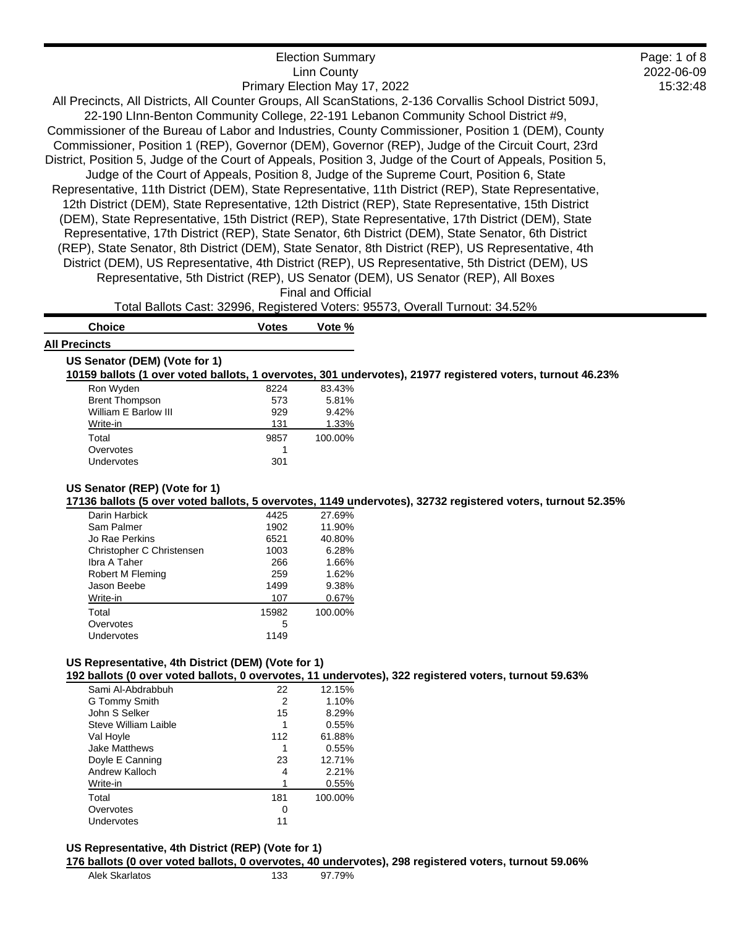| <b>Election Summary</b>                                                                                     | Page: 1 of 8 |
|-------------------------------------------------------------------------------------------------------------|--------------|
| Linn County                                                                                                 | 2022-06-09   |
| Primary Election May 17, 2022                                                                               | 15:32:48     |
| All Precincts, All Districts, All Counter Groups, All ScanStations, 2-136 Corvallis School District 509J,   |              |
| 22-190 LInn-Benton Community College, 22-191 Lebanon Community School District #9,                          |              |
| Commissioner of the Bureau of Labor and Industries, County Commissioner, Position 1 (DEM), County           |              |
| Commissioner, Position 1 (REP), Governor (DEM), Governor (REP), Judge of the Circuit Court, 23rd            |              |
| District, Position 5, Judge of the Court of Appeals, Position 3, Judge of the Court of Appeals, Position 5, |              |
| Judge of the Court of Appeals, Position 8, Judge of the Supreme Court, Position 6, State                    |              |
| Representative, 11th District (DEM), State Representative, 11th District (REP), State Representative,       |              |
| 12th District (DEM), State Representative, 12th District (REP), State Representative, 15th District         |              |
| (DEM), State Representative, 15th District (REP), State Representative, 17th District (DEM), State          |              |
| Representative, 17th District (REP), State Senator, 6th District (DEM), State Senator, 6th District         |              |
| (REP), State Senator, 8th District (DEM), State Senator, 8th District (REP), US Representative, 4th         |              |
| District (DEM), US Representative, 4th District (REP), US Representative, 5th District (DEM), US            |              |
| Representative, 5th District (REP), US Senator (DEM), US Senator (REP), All Boxes                           |              |
| <b>Final and Official</b>                                                                                   |              |

Total Ballots Cast: 32996, Registered Voters: 95573, Overall Turnout: 34.52%

| <b>Choice</b>        | <b>Votes</b> | Vote % |
|----------------------|--------------|--------|
| <b>All Precincts</b> |              |        |

| US Senator (DEM) (Vote for 1)                                                                              |  |
|------------------------------------------------------------------------------------------------------------|--|
| 10159 ballots (1 over voted ballots, 1 overvotes, 301 undervotes), 21977 registered voters, turnout 46.23% |  |

| 8224 | 83.43%  |
|------|---------|
| 573  | 5.81%   |
| 929  | 9.42%   |
| 131  | 1.33%   |
| 9857 | 100.00% |
|      |         |
| 301  |         |
|      |         |

# **US Senator (REP) (Vote for 1)**

**17136 ballots (5 over voted ballots, 5 overvotes, 1149 undervotes), 32732 registered voters, turnout 52.35%**

| Darin Harbick             | 4425  | 27.69%  |
|---------------------------|-------|---------|
| Sam Palmer                | 1902  | 11.90%  |
| Jo Rae Perkins            | 6521  | 40.80%  |
| Christopher C Christensen | 1003  | 6.28%   |
| Ibra A Taher              | 266   | 1.66%   |
| Robert M Fleming          | 259   | 1.62%   |
| Jason Beebe               | 1499  | 9.38%   |
| Write-in                  | 107   | 0.67%   |
| Total                     | 15982 | 100.00% |
| Overvotes                 | 5     |         |
| Undervotes                | 1149  |         |

# **US Representative, 4th District (DEM) (Vote for 1)**

**192 ballots (0 over voted ballots, 0 overvotes, 11 undervotes), 322 registered voters, turnout 59.63%**

| Sami Al-Abdrabbuh    | 22  | 12.15%  |
|----------------------|-----|---------|
| G Tommy Smith        | 2   | 1.10%   |
| John S Selker        | 15  | 8.29%   |
| Steve William Laible |     | 0.55%   |
| Val Hoyle            | 112 | 61.88%  |
| <b>Jake Matthews</b> |     | 0.55%   |
| Doyle E Canning      | 23  | 12.71%  |
| Andrew Kalloch       | 4   | 2.21%   |
| Write-in             |     | 0.55%   |
| Total                | 181 | 100.00% |
| Overvotes            | 0   |         |
| Undervotes           | 11  |         |
|                      |     |         |

#### **US Representative, 4th District (REP) (Vote for 1)**

**176 ballots (0 over voted ballots, 0 overvotes, 40 undervotes), 298 registered voters, turnout 59.06%**

| Alek Skarlatos | 133 | 97.79% |
|----------------|-----|--------|
|                |     |        |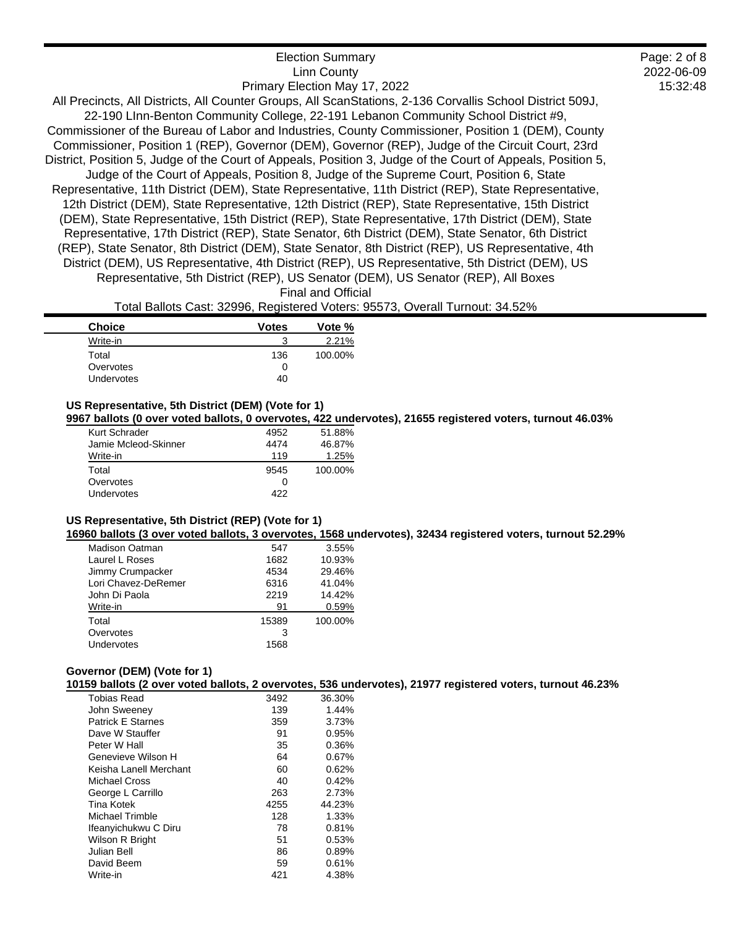| <b>Election Summary</b>                                                                                     |
|-------------------------------------------------------------------------------------------------------------|
| <b>Linn County</b>                                                                                          |
| Primary Election May 17, 2022                                                                               |
| All Precincts, All Districts, All Counter Groups, All ScanStations, 2-136 Corvallis School District 509J,   |
| 22-190 LInn-Benton Community College, 22-191 Lebanon Community School District #9,                          |
| Commissioner of the Bureau of Labor and Industries, County Commissioner, Position 1 (DEM), County           |
| Commissioner, Position 1 (REP), Governor (DEM), Governor (REP), Judge of the Circuit Court, 23rd            |
| District, Position 5, Judge of the Court of Appeals, Position 3, Judge of the Court of Appeals, Position 5, |
| Judge of the Court of Appeals, Position 8, Judge of the Supreme Court, Position 6, State                    |
| Representative, 11th District (DEM), State Representative, 11th District (REP), State Representative,       |
| 12th District (DEM), State Representative, 12th District (REP), State Representative, 15th District         |
| (DEM), State Representative, 15th District (REP), State Representative, 17th District (DEM), State          |
| Representative, 17th District (REP), State Senator, 6th District (DEM), State Senator, 6th District         |
| (REP), State Senator, 8th District (DEM), State Senator, 8th District (REP), US Representative, 4th         |
| District (DEM), US Representative, 4th District (REP), US Representative, 5th District (DEM), US            |
| Representative, 5th District (REP), US Senator (DEM), US Senator (REP), All Boxes                           |
|                                                                                                             |

2022-06-09 15:32:48

Page: 2 of 8

Final and Official

Total Ballots Cast: 32996, Registered Voters: 95573, Overall Turnout: 34.52%

| <b>Choice</b> | <b>Votes</b> | Vote %  |
|---------------|--------------|---------|
| Write-in      |              | 2.21%   |
| Total         | 136          | 100.00% |
| Overvotes     |              |         |
| Undervotes    | 40           |         |

# **US Representative, 5th District (DEM) (Vote for 1)**

**9967 ballots (0 over voted ballots, 0 overvotes, 422 undervotes), 21655 registered voters, turnout 46.03%**

| Kurt Schrader        | 4952 | 51.88%  |
|----------------------|------|---------|
| Jamie Mcleod-Skinner | 4474 | 46.87%  |
| Write-in             | 119  | 1.25%   |
| Total                | 9545 | 100.00% |
| Overvotes            |      |         |
| Undervotes           | 422  |         |

# **US Representative, 5th District (REP) (Vote for 1)**

**16960 ballots (3 over voted ballots, 3 overvotes, 1568 undervotes), 32434 registered voters, turnout 52.29%**

| Madison Oatman      | 547   | 3.55%   |
|---------------------|-------|---------|
| Laurel L Roses      | 1682  | 10.93%  |
| Jimmy Crumpacker    | 4534  | 29.46%  |
| Lori Chavez-DeRemer | 6316  | 41.04%  |
| John Di Paola       | 2219  | 14.42%  |
| Write-in            | 91    | 0.59%   |
| Total               | 15389 | 100.00% |
| Overvotes           | 3     |         |
| Undervotes          | 1568  |         |

#### **Governor (DEM) (Vote for 1)**

**10159 ballots (2 over voted ballots, 2 overvotes, 536 undervotes), 21977 registered voters, turnout 46.23%**

| <b>Tobias Read</b>       | 3492 | 36.30% |
|--------------------------|------|--------|
| John Sweeney             | 139  | 1.44%  |
| <b>Patrick E Starnes</b> | 359  | 3.73%  |
| Dave W Stauffer          | 91   | 0.95%  |
| Peter W Hall             | 35   | 0.36%  |
| Genevieve Wilson H       | 64   | 0.67%  |
| Keisha Lanell Merchant   | 60   | 0.62%  |
| Michael Cross            | 40   | 0.42%  |
| George L Carrillo        | 263  | 2.73%  |
| <b>Tina Kotek</b>        | 4255 | 44.23% |
| Michael Trimble          | 128  | 1.33%  |
| Ifeanyichukwu C Diru     | 78   | 0.81%  |
| Wilson R Bright          | 51   | 0.53%  |
| Julian Bell              | 86   | 0.89%  |
| David Beem               | 59   | 0.61%  |
| Write-in                 | 421  | 4.38%  |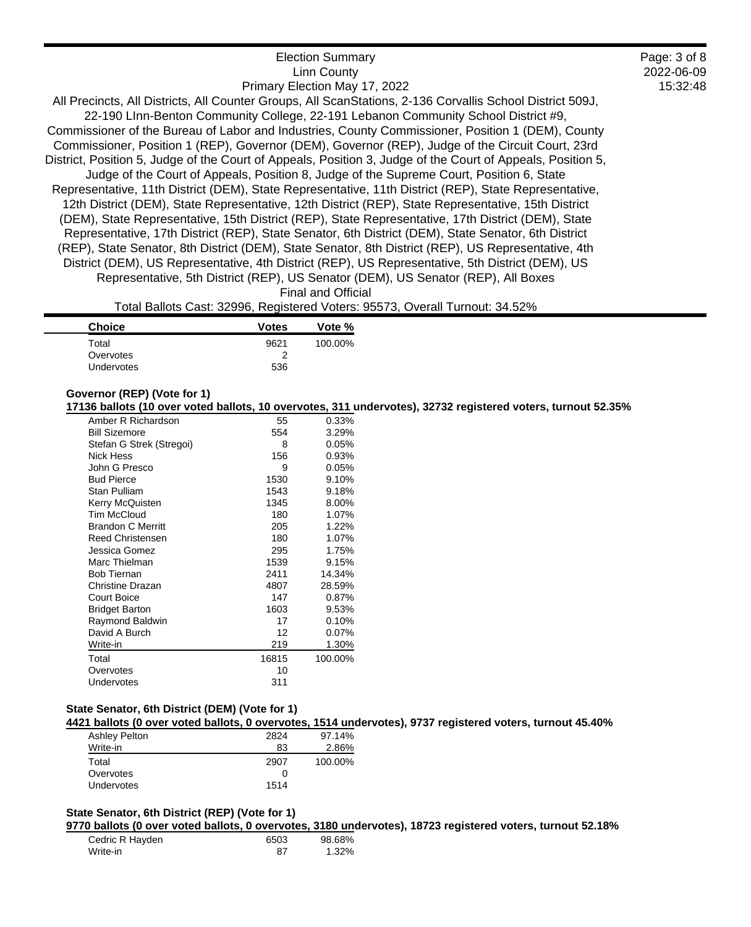| <b>Election Summary</b>                                                                                     | Page: 3 of 8 |
|-------------------------------------------------------------------------------------------------------------|--------------|
| <b>Linn County</b>                                                                                          | 2022-06-09   |
| Primary Election May 17, 2022                                                                               | 15:32:48     |
| All Precincts, All Districts, All Counter Groups, All ScanStations, 2-136 Corvallis School District 509J,   |              |
| 22-190 Linn-Benton Community College, 22-191 Lebanon Community School District #9,                          |              |
| Commissioner of the Bureau of Labor and Industries, County Commissioner, Position 1 (DEM), County           |              |
| Commissioner, Position 1 (REP), Governor (DEM), Governor (REP), Judge of the Circuit Court, 23rd            |              |
| District, Position 5, Judge of the Court of Appeals, Position 3, Judge of the Court of Appeals, Position 5, |              |
| Judge of the Court of Appeals, Position 8, Judge of the Supreme Court, Position 6, State                    |              |
| Representative, 11th District (DEM), State Representative, 11th District (REP), State Representative,       |              |
| 12th District (DEM), State Representative, 12th District (REP), State Representative, 15th District         |              |
| (DEM), State Representative, 15th District (REP), State Representative, 17th District (DEM), State          |              |
| Representative, 17th District (REP), State Senator, 6th District (DEM), State Senator, 6th District         |              |
| (REP), State Senator, 8th District (DEM), State Senator, 8th District (REP), US Representative, 4th         |              |
| District (DEM), US Representative, 4th District (REP), US Representative, 5th District (DEM), US            |              |
| Representative, 5th District (REP), US Senator (DEM), US Senator (REP), All Boxes                           |              |
| <b>Final and Official</b>                                                                                   |              |

Total Ballots Cast: 32996, Registered Voters: 95573, Overall Turnout: 34.52%

| <b>Choice</b>     | <b>Votes</b> | Vote %  |
|-------------------|--------------|---------|
| Total             | 9621         | 100.00% |
| Overvotes         | っ            |         |
| <b>Undervotes</b> | 536          |         |

# **Governor (REP) (Vote for 1)**

**17136 ballots (10 over voted ballots, 10 overvotes, 311 undervotes), 32732 registered voters, turnout 52.35%**

| Amber R Richardson       | 55    | 0.33%   |
|--------------------------|-------|---------|
| <b>Bill Sizemore</b>     | 554   | 3.29%   |
| Stefan G Strek (Stregoi) | 8     | 0.05%   |
| Nick Hess                | 156   | 0.93%   |
| John G Presco            | 9     | 0.05%   |
| <b>Bud Pierce</b>        | 1530  | 9.10%   |
| Stan Pulliam             | 1543  | 9.18%   |
| Kerry McQuisten          | 1345  | 8.00%   |
| Tim McCloud              | 180   | 1.07%   |
| <b>Brandon C Merritt</b> | 205   | 1.22%   |
| Reed Christensen         | 180   | 1.07%   |
| Jessica Gomez            | 295   | 1.75%   |
| Marc Thielman            | 1539  | 9.15%   |
| <b>Bob Tiernan</b>       | 2411  | 14.34%  |
| Christine Drazan         | 4807  | 28.59%  |
| <b>Court Boice</b>       | 147   | 0.87%   |
| <b>Bridget Barton</b>    | 1603  | 9.53%   |
| Raymond Baldwin          | 17    | 0.10%   |
| David A Burch            | 12    | 0.07%   |
| Write-in                 | 219   | 1.30%   |
| Total                    | 16815 | 100.00% |
| Overvotes                | 10    |         |
| Undervotes               | 311   |         |
|                          |       |         |

# **State Senator, 6th District (DEM) (Vote for 1)**

**4421 ballots (0 over voted ballots, 0 overvotes, 1514 undervotes), 9737 registered voters, turnout 45.40%**

| Ashley Pelton | 2824              | 97.14%  |
|---------------|-------------------|---------|
| Write-in      | 83                | 2.86%   |
| Total         | 2907              | 100.00% |
| Overvotes     | $\mathbf{\Omega}$ |         |
| Undervotes    | 1514              |         |

# **State Senator, 6th District (REP) (Vote for 1)**

**9770 ballots (0 over voted ballots, 0 overvotes, 3180 undervotes), 18723 registered voters, turnout 52.18%**

| Cedric R Hayden | 6503 | 98.68% |
|-----------------|------|--------|
| Write-in        | 87   | 1.32%  |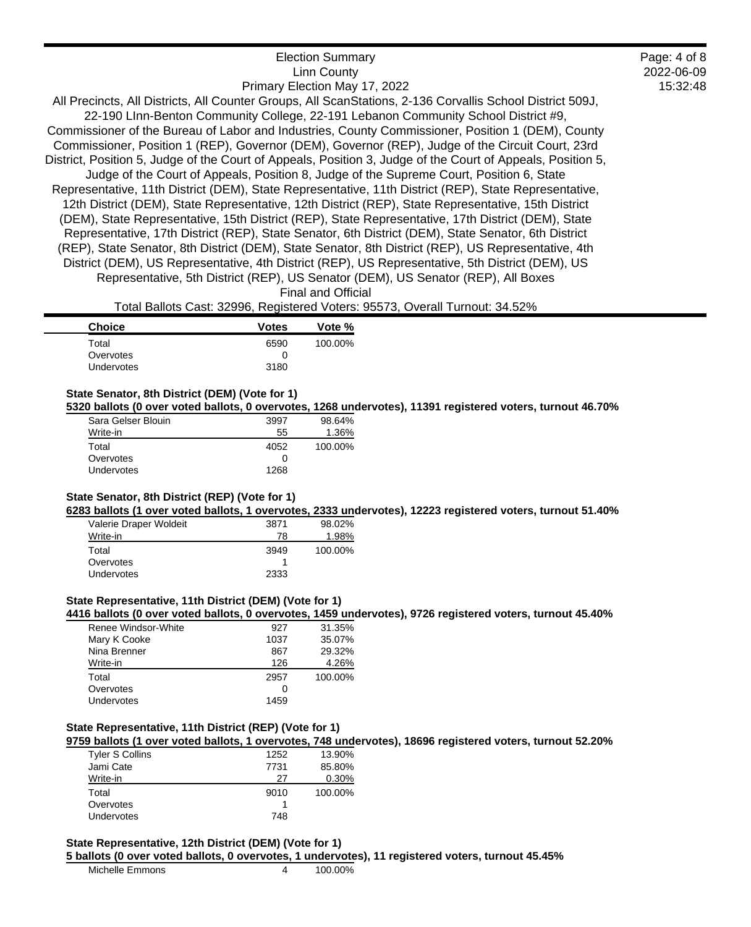| <b>Election Summary</b>                                                                                     |
|-------------------------------------------------------------------------------------------------------------|
| <b>Linn County</b>                                                                                          |
| Primary Election May 17, 2022                                                                               |
| All Precincts, All Districts, All Counter Groups, All ScanStations, 2-136 Corvallis School District 509J,   |
| 22-190 LInn-Benton Community College, 22-191 Lebanon Community School District #9,                          |
| Commissioner of the Bureau of Labor and Industries, County Commissioner, Position 1 (DEM), County           |
| Commissioner, Position 1 (REP), Governor (DEM), Governor (REP), Judge of the Circuit Court, 23rd            |
| District, Position 5, Judge of the Court of Appeals, Position 3, Judge of the Court of Appeals, Position 5, |
| Judge of the Court of Appeals, Position 8, Judge of the Supreme Court, Position 6, State                    |
| Representative, 11th District (DEM), State Representative, 11th District (REP), State Representative,       |
| 12th District (DEM), State Representative, 12th District (REP), State Representative, 15th District         |
| (DEM), State Representative, 15th District (REP), State Representative, 17th District (DEM), State          |
| Representative, 17th District (REP), State Senator, 6th District (DEM), State Senator, 6th District         |
| (REP), State Senator, 8th District (DEM), State Senator, 8th District (REP), US Representative, 4th         |
| District (DEM), US Representative, 4th District (REP), US Representative, 5th District (DEM), US            |
| Representative, 5th District (REP), US Senator (DEM), US Senator (REP), All Boxes                           |
| <b>Final and Official</b>                                                                                   |

2022-06-09 15:32:48

Page: 4 of 8

Total Ballots Cast: 32996, Registered Voters: 95573, Overall Turnout: 34.52%

| <b>Choice</b> | <b>Votes</b> | Vote %  |
|---------------|--------------|---------|
| Total         | 6590         | 100.00% |
| Overvotes     |              |         |
| Undervotes    | 3180         |         |

### **State Senator, 8th District (DEM) (Vote for 1)**

**5320 ballots (0 over voted ballots, 0 overvotes, 1268 undervotes), 11391 registered voters, turnout 46.70%**

| Sara Gelser Blouin | 3997 | 98.64%  |
|--------------------|------|---------|
| Write-in           | 55   | 1.36%   |
| Total              | 4052 | 100.00% |
| Overvotes          |      |         |
| Undervotes         | 1268 |         |

#### **State Senator, 8th District (REP) (Vote for 1)**

**6283 ballots (1 over voted ballots, 1 overvotes, 2333 undervotes), 12223 registered voters, turnout 51.40%**

| Valerie Draper Woldeit | 3871 | 98.02%  |
|------------------------|------|---------|
| Write-in               | 78   | 1.98%   |
| Total                  | 3949 | 100.00% |
| Overvotes              |      |         |
| Undervotes             | 2333 |         |

# **State Representative, 11th District (DEM) (Vote for 1)**

**4416 ballots (0 over voted ballots, 0 overvotes, 1459 undervotes), 9726 registered voters, turnout 45.40%**

| Renee Windsor-White | 927  | 31.35%  |
|---------------------|------|---------|
| Mary K Cooke        | 1037 | 35.07%  |
| Nina Brenner        | 867  | 29.32%  |
| Write-in            | 126  | 4.26%   |
| Total               | 2957 | 100.00% |
| Overvotes           |      |         |
| Undervotes          | 1459 |         |

### **State Representative, 11th District (REP) (Vote for 1)**

**9759 ballots (1 over voted ballots, 1 overvotes, 748 undervotes), 18696 registered voters, turnout 52.20%**

| <b>Tyler S Collins</b> | 1252 | 13.90%  |
|------------------------|------|---------|
| Jami Cate              | 7731 | 85.80%  |
| Write-in               | 27   | 0.30%   |
| Total                  | 9010 | 100.00% |
| Overvotes              |      |         |
| Undervotes             | 748  |         |

### **State Representative, 12th District (DEM) (Vote for 1) 5 ballots (0 over voted ballots, 0 overvotes, 1 undervotes), 11 registered voters, turnout 45.45%**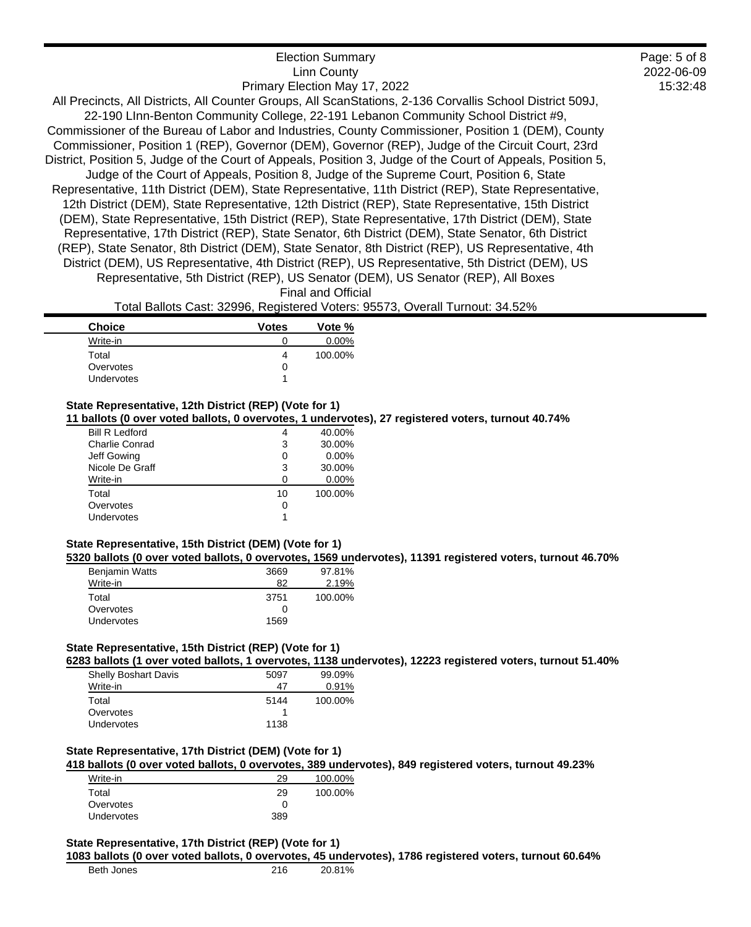| <b>Election Summary</b>                                                                                     |
|-------------------------------------------------------------------------------------------------------------|
| <b>Linn County</b>                                                                                          |
| Primary Election May 17, 2022                                                                               |
| All Precincts, All Districts, All Counter Groups, All ScanStations, 2-136 Corvallis School District 509J,   |
| 22-190 Linn-Benton Community College, 22-191 Lebanon Community School District #9,                          |
| Commissioner of the Bureau of Labor and Industries, County Commissioner, Position 1 (DEM), County           |
| Commissioner, Position 1 (REP), Governor (DEM), Governor (REP), Judge of the Circuit Court, 23rd            |
| District, Position 5, Judge of the Court of Appeals, Position 3, Judge of the Court of Appeals, Position 5, |
| Judge of the Court of Appeals, Position 8, Judge of the Supreme Court, Position 6, State                    |
| Representative, 11th District (DEM), State Representative, 11th District (REP), State Representative,       |
| 12th District (DEM), State Representative, 12th District (REP), State Representative, 15th District         |
| (DEM), State Representative, 15th District (REP), State Representative, 17th District (DEM), State          |
| Representative, 17th District (REP), State Senator, 6th District (DEM), State Senator, 6th District         |
| (REP), State Senator, 8th District (DEM), State Senator, 8th District (REP), US Representative, 4th         |
| District (DEM), US Representative, 4th District (REP), US Representative, 5th District (DEM), US            |
| Representative, 5th District (REP), US Senator (DEM), US Senator (REP), All Boxes                           |
| <b>Final and Official</b>                                                                                   |

2022-06-09 15:32:48

Page: 5 of 8

Total Ballots Cast: 32996, Registered Voters: 95573, Overall Turnout: 34.52%

| <b>Choice</b> | <b>Votes</b> | Vote %   |
|---------------|--------------|----------|
| Write-in      |              | $0.00\%$ |
| Total         | 4            | 100.00%  |
| Overvotes     | O            |          |
| Undervotes    |              |          |

### **State Representative, 12th District (REP) (Vote for 1)**

**11 ballots (0 over voted ballots, 0 overvotes, 1 undervotes), 27 registered voters, turnout 40.74%**

| <b>Bill R Ledford</b> |    | 40.00%   |
|-----------------------|----|----------|
| Charlie Conrad        | 3  | 30.00%   |
| Jeff Gowing           | 0  | $0.00\%$ |
| Nicole De Graff       | 3  | 30.00%   |
| Write-in              | O  | $0.00\%$ |
| Total                 | 10 | 100.00%  |
| Overvotes             | 0  |          |
| Undervotes            |    |          |
|                       |    |          |

# **State Representative, 15th District (DEM) (Vote for 1)**

**5320 ballots (0 over voted ballots, 0 overvotes, 1569 undervotes), 11391 registered voters, turnout 46.70%**

| <b>Benjamin Watts</b> | 3669 | 97.81%  |
|-----------------------|------|---------|
| Write-in              | 82   | 2.19%   |
| Total                 | 3751 | 100.00% |
| Overvotes             |      |         |
| Undervotes            | 1569 |         |

# **State Representative, 15th District (REP) (Vote for 1)**

**6283 ballots (1 over voted ballots, 1 overvotes, 1138 undervotes), 12223 registered voters, turnout 51.40%**

| 5097 | 99.09%  |
|------|---------|
| 47   | 0.91%   |
| 5144 | 100.00% |
|      |         |
| 1138 |         |
|      |         |

#### **State Representative, 17th District (DEM) (Vote for 1)**

**418 ballots (0 over voted ballots, 0 overvotes, 389 undervotes), 849 registered voters, turnout 49.23%**

| Write-in   | 29  | 100.00% |
|------------|-----|---------|
| Total      | 29  | 100.00% |
| Overvotes  |     |         |
| Undervotes | 389 |         |

## **State Representative, 17th District (REP) (Vote for 1)**

#### **1083 ballots (0 over voted ballots, 0 overvotes, 45 undervotes), 1786 registered voters, turnout 60.64%**

| Beth Jones | 216 | 20.81% |
|------------|-----|--------|
|            |     |        |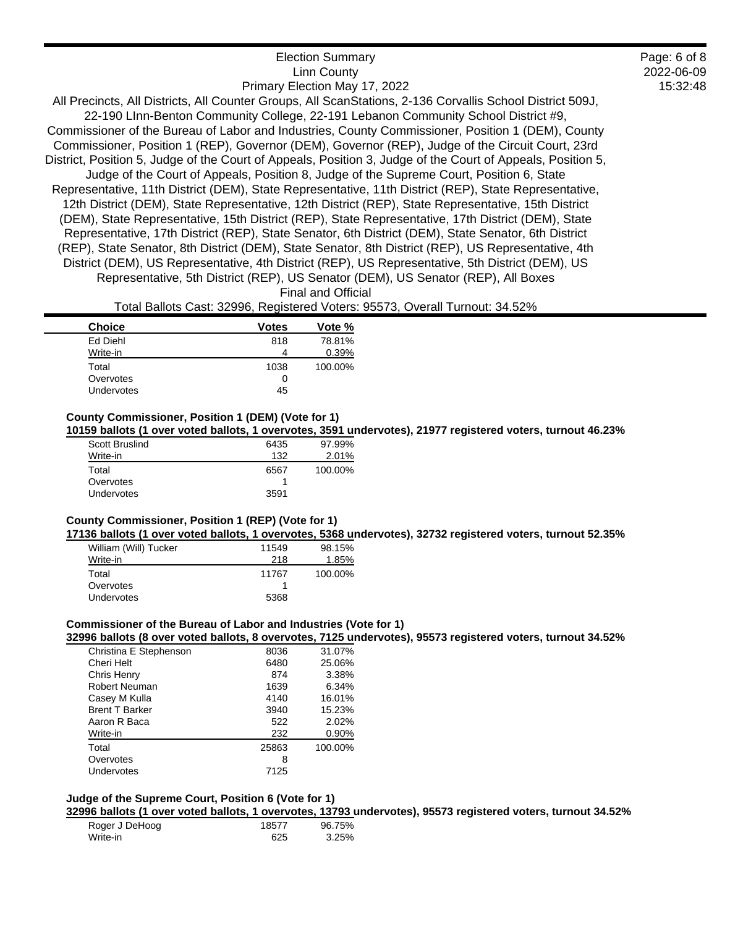| <b>Linn County</b>                                                                                          |
|-------------------------------------------------------------------------------------------------------------|
| Primary Election May 17, 2022                                                                               |
| All Precincts, All Districts, All Counter Groups, All ScanStations, 2-136 Corvallis School District 509J,   |
| 22-190 LInn-Benton Community College, 22-191 Lebanon Community School District #9,                          |
| Commissioner of the Bureau of Labor and Industries, County Commissioner, Position 1 (DEM), County           |
| Commissioner, Position 1 (REP), Governor (DEM), Governor (REP), Judge of the Circuit Court, 23rd            |
| District, Position 5, Judge of the Court of Appeals, Position 3, Judge of the Court of Appeals, Position 5, |
| Judge of the Court of Appeals, Position 8, Judge of the Supreme Court, Position 6, State                    |
| Representative, 11th District (DEM), State Representative, 11th District (REP), State Representative,       |
| 12th District (DEM), State Representative, 12th District (REP), State Representative, 15th District         |
| (DEM), State Representative, 15th District (REP), State Representative, 17th District (DEM), State          |
| Representative, 17th District (REP), State Senator, 6th District (DEM), State Senator, 6th District         |
| (REP), State Senator, 8th District (DEM), State Senator, 8th District (REP), US Representative, 4th         |
| District (DEM), US Representative, 4th District (REP), US Representative, 5th District (DEM), US            |
| Representative, 5th District (REP), US Senator (DEM), US Senator (REP), All Boxes                           |
| Final and Official                                                                                          |

Election Summary

2022-06-09 15:32:48

Page: 6 of 8

Total Ballots Cast: 32996, Registered Voters: 95573, Overall Turnout: 34.52%

| <b>Choice</b>     | Votes | Vote %  |
|-------------------|-------|---------|
| Ed Diehl          | 818   | 78.81%  |
| Write-in          | 4     | 0.39%   |
| Total             | 1038  | 100.00% |
| Overvotes         | 0     |         |
| <b>Undervotes</b> | 45    |         |

### **County Commissioner, Position 1 (DEM) (Vote for 1)**

**10159 ballots (1 over voted ballots, 1 overvotes, 3591 undervotes), 21977 registered voters, turnout 46.23%**

| Scott Bruslind | 6435 | 97.99%  |
|----------------|------|---------|
| Write-in       | 132  | 2.01%   |
| Total          | 6567 | 100.00% |
| Overvotes      |      |         |
| Undervotes     | 3591 |         |

## **County Commissioner, Position 1 (REP) (Vote for 1)**

**17136 ballots (1 over voted ballots, 1 overvotes, 5368 undervotes), 32732 registered voters, turnout 52.35%**

| William (Will) Tucker | 11549 | 98.15%  |
|-----------------------|-------|---------|
| Write-in              | 218   | 1.85%   |
| Total                 | 11767 | 100.00% |
| Overvotes             |       |         |
| <b>Undervotes</b>     | 5368  |         |

# **Commissioner of the Bureau of Labor and Industries (Vote for 1)**

**32996 ballots (8 over voted ballots, 8 overvotes, 7125 undervotes), 95573 registered voters, turnout 34.52%**

| 8036  | 31.07%  |
|-------|---------|
| 6480  | 25.06%  |
| 874   | 3.38%   |
| 1639  | 6.34%   |
| 4140  | 16.01%  |
| 3940  | 15.23%  |
| 522   | 2.02%   |
| 232   | 0.90%   |
| 25863 | 100.00% |
| 8     |         |
| 7125  |         |
|       |         |

# **Judge of the Supreme Court, Position 6 (Vote for 1)**

**32996 ballots (1 over voted ballots, 1 overvotes, 13793 undervotes), 95573 registered voters, turnout 34.52%**

| Roger J DeHoog | 18577 | 96.75% |
|----------------|-------|--------|
| Write-in       | 625   | 3.25%  |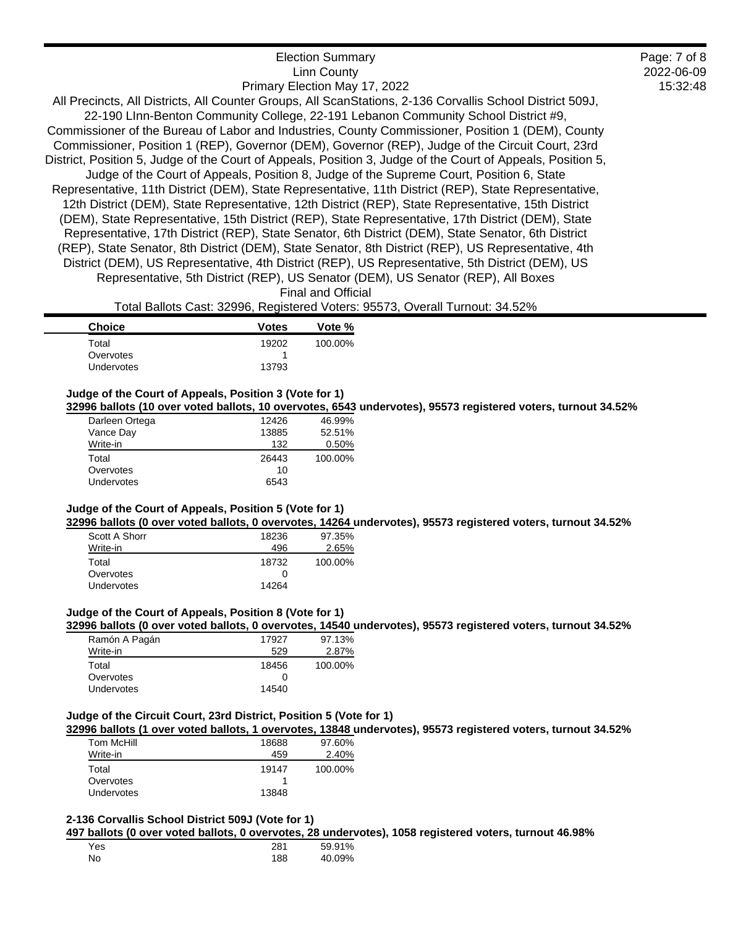| <b>Election Summary</b>                                                                                     | Page: 7 of 8 |
|-------------------------------------------------------------------------------------------------------------|--------------|
| <b>Linn County</b>                                                                                          | 2022-06-09   |
| Primary Election May 17, 2022                                                                               | 15:32:48     |
| All Precincts, All Districts, All Counter Groups, All ScanStations, 2-136 Corvallis School District 509J,   |              |
| 22-190 Linn-Benton Community College, 22-191 Lebanon Community School District #9,                          |              |
| Commissioner of the Bureau of Labor and Industries, County Commissioner, Position 1 (DEM), County           |              |
| Commissioner, Position 1 (REP), Governor (DEM), Governor (REP), Judge of the Circuit Court, 23rd            |              |
| District, Position 5, Judge of the Court of Appeals, Position 3, Judge of the Court of Appeals, Position 5, |              |
| Judge of the Court of Appeals, Position 8, Judge of the Supreme Court, Position 6, State                    |              |
| Representative, 11th District (DEM), State Representative, 11th District (REP), State Representative,       |              |
| 12th District (DEM), State Representative, 12th District (REP), State Representative, 15th District         |              |
| (DEM), State Representative, 15th District (REP), State Representative, 17th District (DEM), State          |              |
| Representative, 17th District (REP), State Senator, 6th District (DEM), State Senator, 6th District         |              |
| (REP), State Senator, 8th District (DEM), State Senator, 8th District (REP), US Representative, 4th         |              |
| District (DEM), US Representative, 4th District (REP), US Representative, 5th District (DEM), US            |              |
| Representative, 5th District (REP), US Senator (DEM), US Senator (REP), All Boxes                           |              |
| <b>Final and Official</b>                                                                                   |              |

Total Ballots Cast: 32996, Registered Voters: 95573, Overall Turnout: 34.52%

| <b>Choice</b>     | <b>Votes</b> | Vote %  |
|-------------------|--------------|---------|
| Total             | 19202        | 100.00% |
| Overvotes         |              |         |
| <b>Undervotes</b> | 13793        |         |

# **Judge of the Court of Appeals, Position 3 (Vote for 1)**

**32996 ballots (10 over voted ballots, 10 overvotes, 6543 undervotes), 95573 registered voters, turnout 34.52%**

| Darleen Ortega    | 12426 | 46.99%  |
|-------------------|-------|---------|
| Vance Day         | 13885 | 52.51%  |
| Write-in          | 132   | 0.50%   |
| Total             | 26443 | 100.00% |
| Overvotes         | 10    |         |
| <b>Undervotes</b> | 6543  |         |

# **Judge of the Court of Appeals, Position 5 (Vote for 1)**

**32996 ballots (0 over voted ballots, 0 overvotes, 14264 undervotes), 95573 registered voters, turnout 34.52%**

| Scott A Shorr | 18236 | 97.35%  |
|---------------|-------|---------|
| Write-in      | 496   | 2.65%   |
| Total         | 18732 | 100.00% |
| Overvotes     |       |         |
| Undervotes    | 14264 |         |

#### **Judge of the Court of Appeals, Position 8 (Vote for 1)**

**32996 ballots (0 over voted ballots, 0 overvotes, 14540 undervotes), 95573 registered voters, turnout 34.52%**

| Ramón A Pagán     | 17927 | 97.13%  |
|-------------------|-------|---------|
| Write-in          | 529   | 2.87%   |
| Total             | 18456 | 100.00% |
| Overvotes         |       |         |
| <b>Undervotes</b> | 14540 |         |

### **Judge of the Circuit Court, 23rd District, Position 5 (Vote for 1)**

**32996 ballots (1 over voted ballots, 1 overvotes, 13848 undervotes), 95573 registered voters, turnout 34.52%**

| Tom McHill        | 18688 | 97.60%  |
|-------------------|-------|---------|
| Write-in          | 459   | 2.40%   |
| Total             | 19147 | 100.00% |
| Overvotes         |       |         |
| <b>Undervotes</b> | 13848 |         |

### **2-136 Corvallis School District 509J (Vote for 1)**

**497 ballots (0 over voted ballots, 0 overvotes, 28 undervotes), 1058 registered voters, turnout 46.98%**

| Yes | 281 | 59.91% |
|-----|-----|--------|
| No  | 188 | 40.09% |